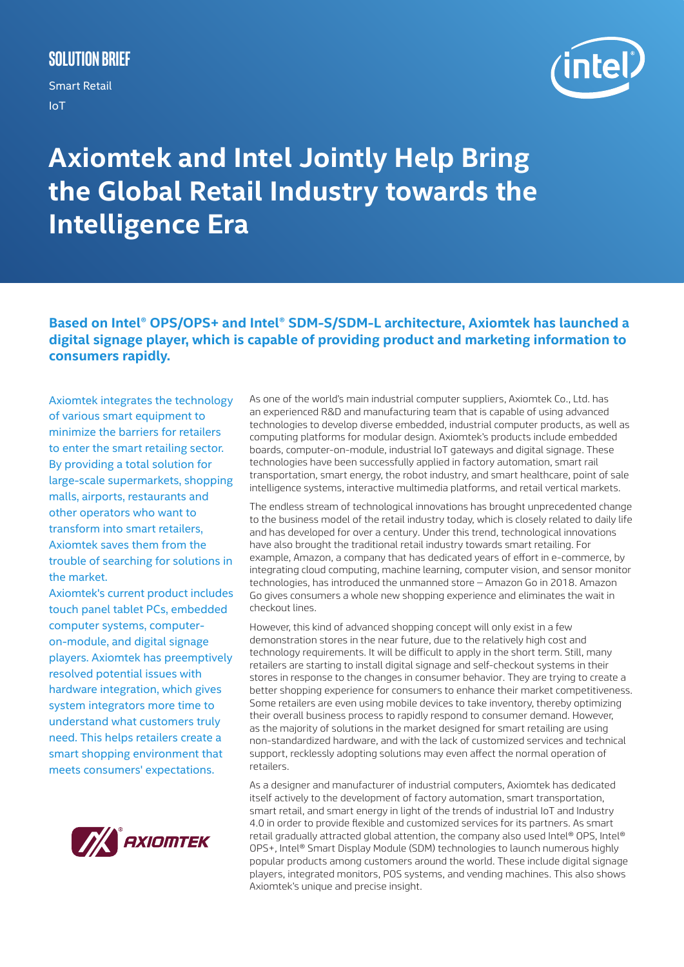# **Solution Brief**

Smart Retail IoT



# **Axiomtek and Intel Jointly Help Bring the Global Retail Industry towards the Intelligence Era**

**Based on Intel® OPS/OPS+ and Intel® SDM-S/SDM-L architecture, Axiomtek has launched a digital signage player, which is capable of providing product and marketing information to consumers rapidly.**

Axiomtek integrates the technology of various smart equipment to minimize the barriers for retailers to enter the smart retailing sector. By providing a total solution for large-scale supermarkets, shopping malls, airports, restaurants and other operators who want to transform into smart retailers, Axiomtek saves them from the trouble of searching for solutions in the market.

Axiomtek's current product includes touch panel tablet PCs, embedded computer systems, computeron-module, and digital signage players. Axiomtek has preemptively resolved potential issues with hardware integration, which gives system integrators more time to understand what customers truly need. This helps retailers create a smart shopping environment that meets consumers' expectations.



As one of the world's main industrial computer suppliers, Axiomtek Co., Ltd. has an experienced R&D and manufacturing team that is capable of using advanced technologies to develop diverse embedded, industrial computer products, as well as computing platforms for modular design. Axiomtek's products include embedded boards, computer-on-module, industrial IoT gateways and digital signage. These technologies have been successfully applied in factory automation, smart rail transportation, smart energy, the robot industry, and smart healthcare, point of sale intelligence systems, interactive multimedia platforms, and retail vertical markets.

The endless stream of technological innovations has brought unprecedented change to the business model of the retail industry today, which is closely related to daily life and has developed for over a century. Under this trend, technological innovations have also brought the traditional retail industry towards smart retailing. For example, Amazon, a company that has dedicated years of effort in e-commerce, by integrating cloud computing, machine learning, computer vision, and sensor monitor technologies, has introduced the unmanned store – Amazon Go in 2018. Amazon Go gives consumers a whole new shopping experience and eliminates the wait in checkout lines.

However, this kind of advanced shopping concept will only exist in a few demonstration stores in the near future, due to the relatively high cost and technology requirements. It will be difficult to apply in the short term. Still, many retailers are starting to install digital signage and self-checkout systems in their stores in response to the changes in consumer behavior. They are trying to create a better shopping experience for consumers to enhance their market competitiveness. Some retailers are even using mobile devices to take inventory, thereby optimizing their overall business process to rapidly respond to consumer demand. However, as the majority of solutions in the market designed for smart retailing are using non-standardized hardware, and with the lack of customized services and technical support, recklessly adopting solutions may even affect the normal operation of retailers.

As a designer and manufacturer of industrial computers, Axiomtek has dedicated itself actively to the development of factory automation, smart transportation, smart retail, and smart energy in light of the trends of industrial IoT and Industry 4.0 in order to provide flexible and customized services for its partners. As smart retail gradually attracted global attention, the company also used Intel® OPS, Intel® OPS+, Intel® Smart Display Module (SDM) technologies to launch numerous highly popular products among customers around the world. These include digital signage players, integrated monitors, POS systems, and vending machines. This also shows Axiomtek's unique and precise insight.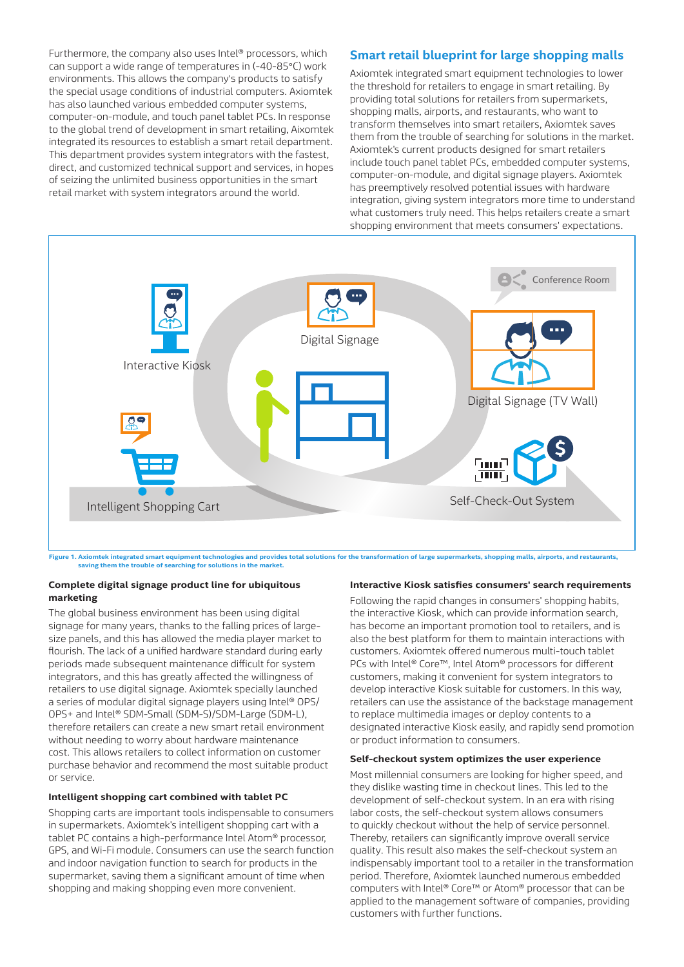Furthermore, the company also uses Intel® processors, which can support a wide range of temperatures in (-40-85°C) work environments. This allows the company's products to satisfy the special usage conditions of industrial computers. Axiomtek has also launched various embedded computer systems, computer-on-module, and touch panel tablet PCs. In response to the global trend of development in smart retailing, Aixomtek integrated its resources to establish a smart retail department. This department provides system integrators with the fastest, direct, and customized technical support and services, in hopes of seizing the unlimited business opportunities in the smart retail market with system integrators around the world.

# **Smart retail blueprint for large shopping malls**

Axiomtek integrated smart equipment technologies to lower the threshold for retailers to engage in smart retailing. By providing total solutions for retailers from supermarkets, shopping malls, airports, and restaurants, who want to transform themselves into smart retailers, Axiomtek saves them from the trouble of searching for solutions in the market. Axiomtek's current products designed for smart retailers include touch panel tablet PCs, embedded computer systems, computer-on-module, and digital signage players. Axiomtek has preemptively resolved potential issues with hardware integration, giving system integrators more time to understand what customers truly need. This helps retailers create a smart shopping environment that meets consumers' expectations.



Figure 1. Axiomtek integrated smart equipment technologies and provides total solutions for the transformation of large supermarkets, shopping malls, airports, and restaurants, shopping malls, airports, and restaurants, sa

#### **Complete digital signage product line for ubiquitous marketing**

The global business environment has been using digital signage for many years, thanks to the falling prices of largesize panels, and this has allowed the media player market to flourish. The lack of a unified hardware standard during early periods made subsequent maintenance difficult for system integrators, and this has greatly affected the willingness of retailers to use digital signage. Axiomtek specially launched a series of modular digital signage players using Intel® OPS/ OPS+ and Intel® SDM-Small (SDM-S)/SDM-Large (SDM-L), therefore retailers can create a new smart retail environment without needing to worry about hardware maintenance cost. This allows retailers to collect information on customer purchase behavior and recommend the most suitable product or service.

# **Intelligent shopping cart combined with tablet PC**

Shopping carts are important tools indispensable to consumers in supermarkets. Axiomtek's intelligent shopping cart with a tablet PC contains a high-performance Intel Atom® processor, GPS, and Wi-Fi module. Consumers can use the search function and indoor navigation function to search for products in the supermarket, saving them a significant amount of time when shopping and making shopping even more convenient.

#### **Interactive Kiosk satisfies consumers' search requirements**

Following the rapid changes in consumers' shopping habits, the interactive Kiosk, which can provide information search, has become an important promotion tool to retailers, and is also the best platform for them to maintain interactions with customers. Axiomtek offered numerous multi-touch tablet PCs with Intel® Core™, Intel Atom® processors for different customers, making it convenient for system integrators to develop interactive Kiosk suitable for customers. In this way, retailers can use the assistance of the backstage management to replace multimedia images or deploy contents to a designated interactive Kiosk easily, and rapidly send promotion or product information to consumers.

### **Self-checkout system optimizes the user experience**

Most millennial consumers are looking for higher speed, and they dislike wasting time in checkout lines. This led to the development of self-checkout system. In an era with rising labor costs, the self-checkout system allows consumers to quickly checkout without the help of service personnel. Thereby, retailers can significantly improve overall service quality. This result also makes the self-checkout system an indispensably important tool to a retailer in the transformation period. Therefore, Axiomtek launched numerous embedded computers with Intel® Core™ or Atom® processor that can be applied to the management software of companies, providing customers with further functions.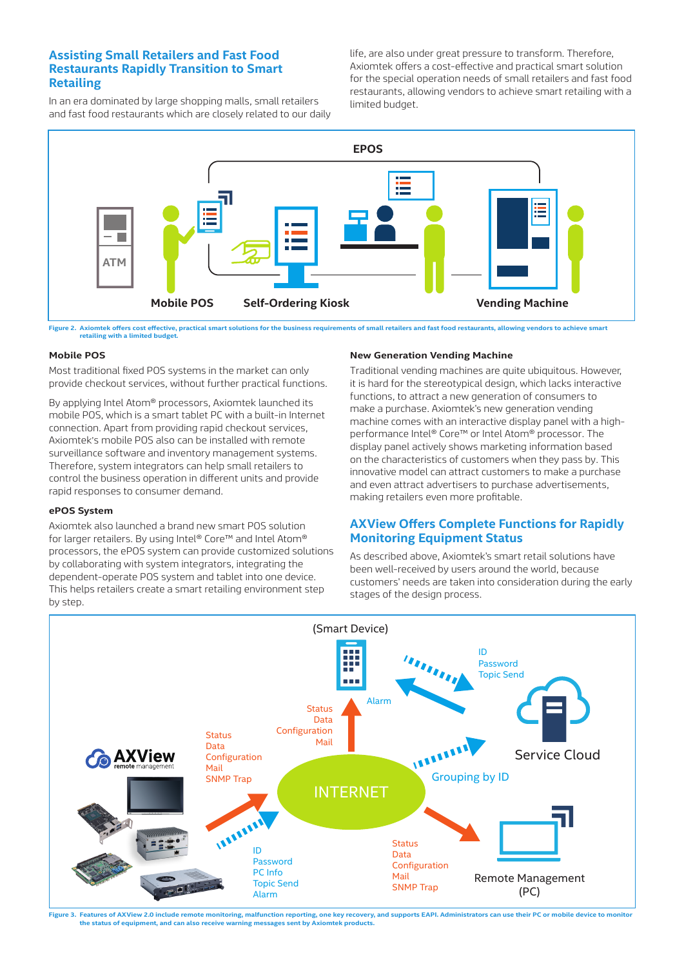# **Assisting Small Retailers and Fast Food Restaurants Rapidly Transition to Smart Retailing**

In an era dominated by large shopping malls, small retailers and fast food restaurants which are closely related to our daily life, are also under great pressure to transform. Therefore, Axiomtek offers a cost-effective and practical smart solution for the special operation needs of small retailers and fast food restaurants, allowing vendors to achieve smart retailing with a limited budget.



**Figure 2. Axiomtek offers cost effective, practical smart solutions for the business requirements of small retailers and fast food restaurants, allowing vendors to achieve smart retailing with a limited budget.**

# **Mobile POS**

Most traditional fixed POS systems in the market can only provide checkout services, without further practical functions.

By applying Intel Atom® processors, Axiomtek launched its mobile POS, which is a smart tablet PC with a built-in Internet connection. Apart from providing rapid checkout services, Axiomtek's mobile POS also can be installed with remote surveillance software and inventory management systems. Therefore, system integrators can help small retailers to control the business operation in different units and provide rapid responses to consumer demand.

### **ePOS System**

Axiomtek also launched a brand new smart POS solution for larger retailers. By using Intel® Core™ and Intel Atom® processors, the ePOS system can provide customized solutions by collaborating with system integrators, integrating the dependent-operate POS system and tablet into one device. This helps retailers create a smart retailing environment step by step.

# **New Generation Vending Machine**

Traditional vending machines are quite ubiquitous. However, it is hard for the stereotypical design, which lacks interactive functions, to attract a new generation of consumers to make a purchase. Axiomtek's new generation vending machine comes with an interactive display panel with a highperformance Intel® Core™ or Intel Atom® processor. The display panel actively shows marketing information based on the characteristics of customers when they pass by. This innovative model can attract customers to make a purchase and even attract advertisers to purchase advertisements, making retailers even more profitable.

# **AXView Offers Complete Functions for Rapidly Monitoring Equipment Status**

As described above, Axiomtek's smart retail solutions have been well-received by users around the world, because customers' needs are taken into consideration during the early stages of the design process.



**Figure 3. Features of AXView 2.0 include remote monitoring, malfunction reporting, one key recovery, and supports EAPI. Administrators can use their PC or mobile device to monitor the status of equipment, and can also receive warning messages sent by Axiomtek products.**